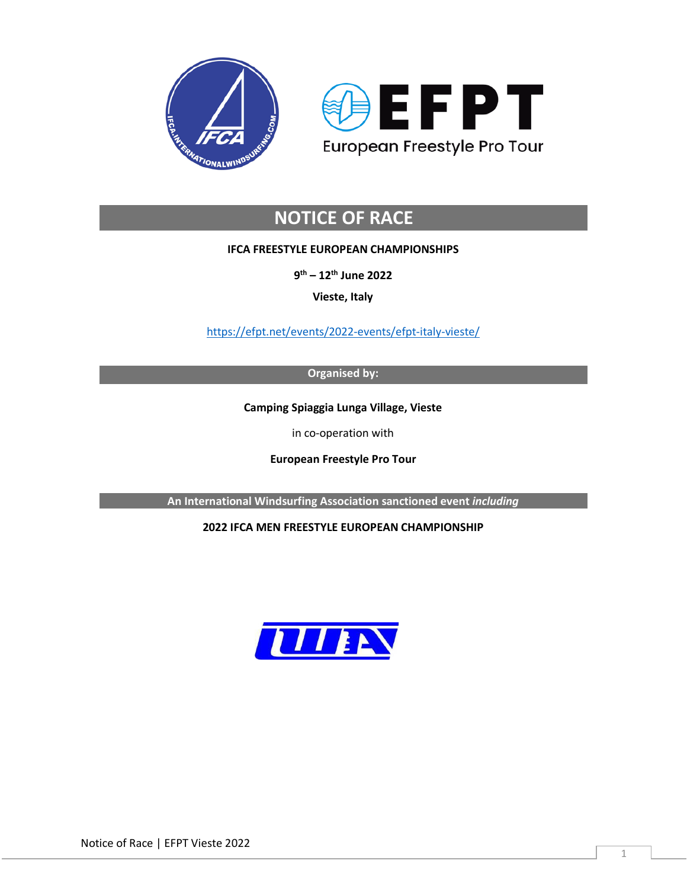



# **NOTICE OF RACE**

# **IFCA FREESTYLE EUROPEAN CHAMPIONSHIPS**

**9th – 12th June 2022**

**Vieste, Italy**

<https://efpt.net/events/2022-events/efpt-italy-vieste/>

**Organised by:**

**Camping Spiaggia Lunga Village, Vieste**

in co-operation with

**European Freestyle Pro Tour**

**An International Windsurfing Association sanctioned event** *including*

# **2022 IFCA MEN FREESTYLE EUROPEAN CHAMPIONSHIP**

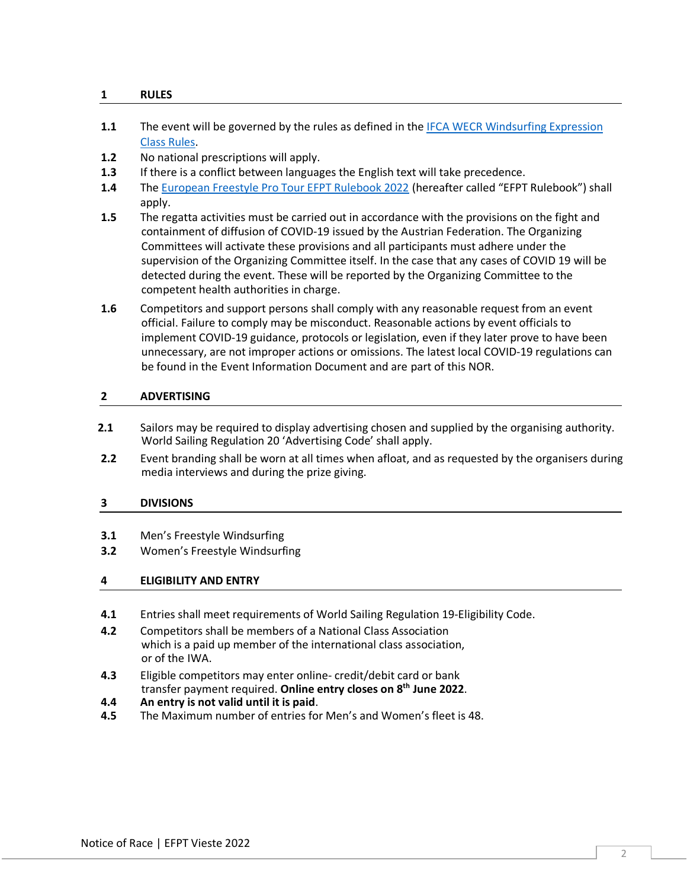# **1 RULES**

- **1.1** The event will be governed by the rules as defined in the [IFCA WECR Windsurfing Expression](https://efpt.net/rulebooks/2021/WECR%20Expression%202020%20FINAL.pdf)  [Class Rules.](https://efpt.net/rulebooks/2021/WECR%20Expression%202020%20FINAL.pdf)
- **1.2** No national prescriptions will apply.
- **1.3** If there is a conflict between languages the English text will take precedence.
- **1.4** The [European Freestyle Pro Tour EFPT Rulebook](https://efpt.net/rulebooks/2021/EFPT%20Freestyle%20Rulebook%202021.pdf) 2022 (hereafter called "EFPT Rulebook") shall apply.
- **1.5** The regatta activities must be carried out in accordance with the provisions on the fight and containment of diffusion of COVID-19 issued by the Austrian Federation. The Organizing Committees will activate these provisions and all participants must adhere under the supervision of the Organizing Committee itself. In the case that any cases of COVID 19 will be detected during the event. These will be reported by the Organizing Committee to the competent health authorities in charge.
- **1.6** Competitors and support persons shall comply with any reasonable request from an event official. Failure to comply may be misconduct. Reasonable actions by event officials to implement COVID-19 guidance, protocols or legislation, even if they later prove to have been unnecessary, are not improper actions or omissions. The latest local COVID-19 regulations can be found in the Event Information Document and are part of this NOR.

## **2 ADVERTISING**

- **2.1** Sailors may be required to display advertising chosen and supplied by the organising authority. World Sailing Regulation 20 'Advertising Code' shall apply.
- **2.2** Event branding shall be worn at all times when afloat, and as requested by the organisers during media interviews and during the prize giving.

## **3 DIVISIONS**

- **3.1** Men's Freestyle Windsurfing
- **3.2** Women's Freestyle Windsurfing

## **4 ELIGIBILITY AND ENTRY**

- **4.1** Entries shall meet requirements of World Sailing Regulation 19-Eligibility Code.
- **4.2** Competitors shall be members of a National Class Association which is a paid up member of the international class association, or of the IWA.
- **4.3** Eligible competitors may enter online- credit/debit card or bank transfer payment required. **Online entry closes on 8th June 2022**.
- **4.4 An entry is not valid until it is paid**.
- **4.5** The Maximum number of entries for Men's and Women's fleet is 48.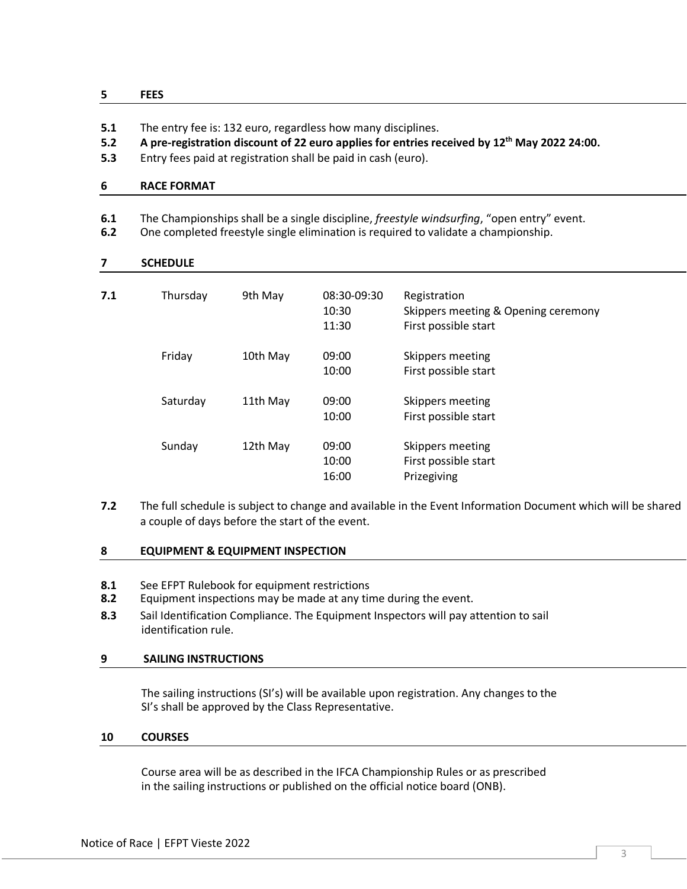## **5 FEES**

- **5.1** The entry fee is: 132 euro, regardless how many disciplines.
- **5.2 A pre-registration discount of 22 euro applies for entries received by 12th May 2022 24:00.**
- **5.3** Entry fees paid at registration shall be paid in cash (euro).

## **6 RACE FORMAT**

- **6.1** The Championships shall be a single discipline, *freestyle windsurfing*, "open entry" event.
- **6.2** One completed freestyle single elimination is required to validate a championship.

#### **7 SCHEDULE**

| 7.1 | Thursday | 9th May  | 08:30-09:30<br>10:30<br>11:30 | Registration<br>Skippers meeting & Opening ceremony<br>First possible start |
|-----|----------|----------|-------------------------------|-----------------------------------------------------------------------------|
|     | Friday   | 10th May | 09:00<br>10:00                | Skippers meeting<br>First possible start                                    |
|     | Saturday | 11th May | 09:00<br>10:00                | Skippers meeting<br>First possible start                                    |
|     | Sunday   | 12th May | 09:00<br>10:00<br>16:00       | Skippers meeting<br>First possible start<br>Prizegiving                     |

**7.2** The full schedule is subject to change and available in the Event Information Document which will be shared a couple of days before the start of the event.

#### **8 EQUIPMENT & EQUIPMENT INSPECTION**

- **8.1** See EFPT Rulebook for equipment restrictions
- **8.2** Equipment inspections may be made at any time during the event.
- **8.3** Sail Identification Compliance. The Equipment Inspectors will pay attention to sail identification rule.

#### **9 SAILING INSTRUCTIONS**

The sailing instructions (SI's) will be available upon registration. Any changes to the SI's shall be approved by the Class Representative.

#### **10 COURSES**

Course area will be as described in the IFCA Championship Rules or as prescribed in the sailing instructions or published on the official notice board (ONB).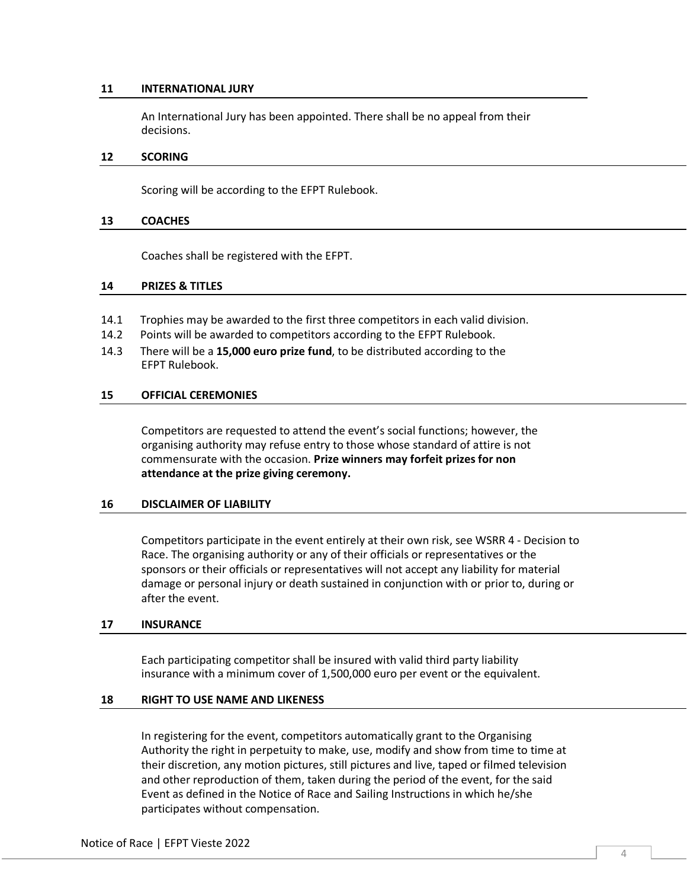#### **11 INTERNATIONAL JURY**

An International Jury has been appointed. There shall be no appeal from their decisions.

#### **12 SCORING**

Scoring will be according to the EFPT Rulebook.

#### **13 COACHES**

Coaches shall be registered with the EFPT.

#### **14 PRIZES & TITLES**

- 14.1 Trophies may be awarded to the first three competitors in each valid division.
- 14.2 Points will be awarded to competitors according to the EFPT Rulebook.
- 14.3 There will be a **15,000 euro prize fund**, to be distributed according to the EFPT Rulebook.

## **15 OFFICIAL CEREMONIES**

Competitors are requested to attend the event's social functions; however, the organising authority may refuse entry to those whose standard of attire is not commensurate with the occasion. **Prize winners may forfeit prizes for non attendance at the prize giving ceremony.**

#### **16 DISCLAIMER OF LIABILITY**

Competitors participate in the event entirely at their own risk, see WSRR 4 - Decision to Race. The organising authority or any of their officials or representatives or the sponsors or their officials or representatives will not accept any liability for material damage or personal injury or death sustained in conjunction with or prior to, during or after the event.

#### **17 INSURANCE**

Each participating competitor shall be insured with valid third party liability insurance with a minimum cover of 1,500,000 euro per event or the equivalent.

## **18 RIGHT TO USE NAME AND LIKENESS**

In registering for the event, competitors automatically grant to the Organising Authority the right in perpetuity to make, use, modify and show from time to time at their discretion, any motion pictures, still pictures and live, taped or filmed television and other reproduction of them, taken during the period of the event, for the said Event as defined in the Notice of Race and Sailing Instructions in which he/she participates without compensation.